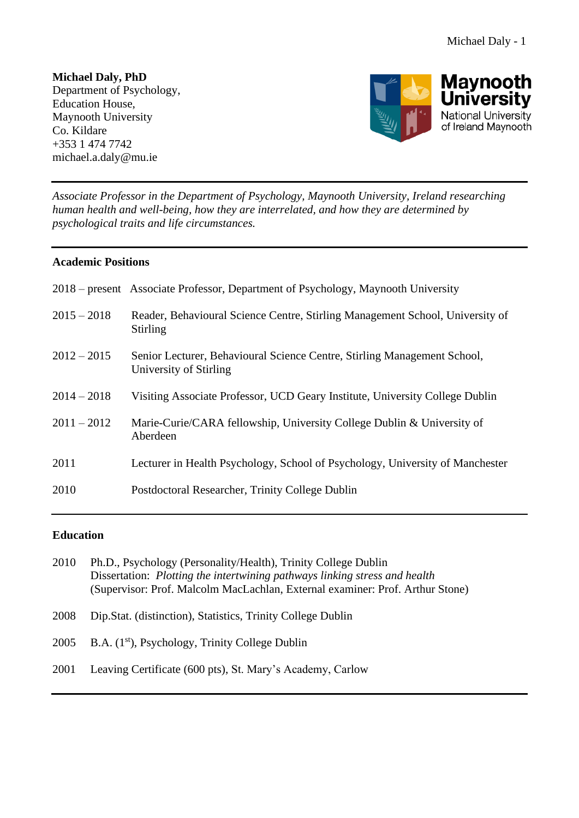**Michael Daly, PhD**  Department of Psychology, Education House, Maynooth University Co. Kildare +353 1 474 7742 michael.a.daly@mu.ie



*Associate Professor in the Department of Psychology, Maynooth University, Ireland researching human health and well-being, how they are interrelated, and how they are determined by psychological traits and life circumstances.*

# **Academic Positions**

|               | 2018 – present Associate Professor, Department of Psychology, Maynooth University                  |
|---------------|----------------------------------------------------------------------------------------------------|
| $2015 - 2018$ | Reader, Behavioural Science Centre, Stirling Management School, University of<br><b>Stirling</b>   |
| $2012 - 2015$ | Senior Lecturer, Behavioural Science Centre, Stirling Management School,<br>University of Stirling |
| $2014 - 2018$ | Visiting Associate Professor, UCD Geary Institute, University College Dublin                       |
| $2011 - 2012$ | Marie-Curie/CARA fellowship, University College Dublin & University of<br>Aberdeen                 |
| 2011          | Lecturer in Health Psychology, School of Psychology, University of Manchester                      |
| 2010          | Postdoctoral Researcher, Trinity College Dublin                                                    |

# **Education**

| 2010 | Ph.D., Psychology (Personality/Health), Trinity College Dublin                    |
|------|-----------------------------------------------------------------------------------|
|      | Dissertation: <i>Plotting the intertwining pathways linking stress and health</i> |
|      | (Supervisor: Prof. Malcolm MacLachlan, External examiner: Prof. Arthur Stone)     |

- 2008 Dip.Stat. (distinction), Statistics, Trinity College Dublin
- 2005 B.A.  $(1^{st})$ , Psychology, Trinity College Dublin
- 2001 Leaving Certificate (600 pts), St. Mary's Academy, Carlow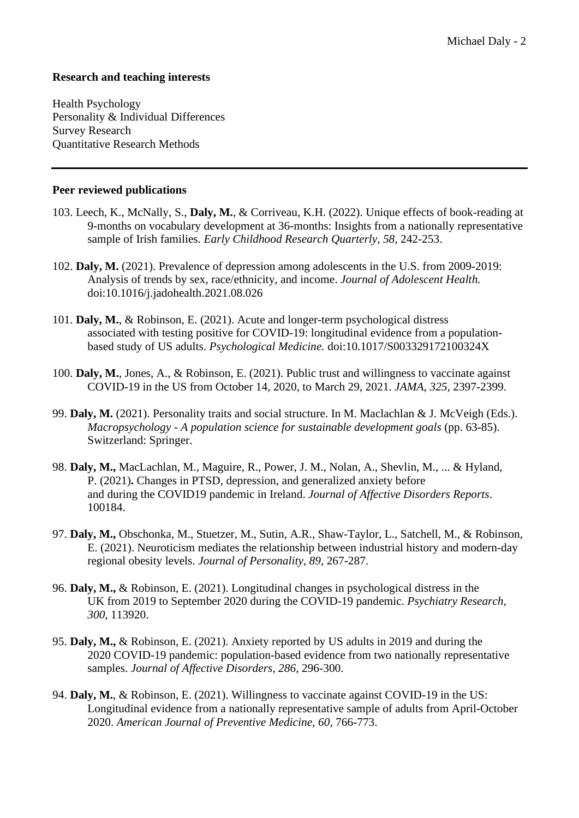## **Research and teaching interests**

Health Psychology Personality & Individual Differences Survey Research Quantitative Research Methods

### **Peer reviewed publications**

- 103. Leech, K., McNally, S., **Daly, M.**, & Corriveau, K.H. (2022). Unique effects of book-reading at 9-months on vocabulary development at 36-months: Insights from a nationally representative sample of Irish families. *Early Childhood Research Quarterly, 58,* 242-253.
- 102. **Daly, M.** (2021). Prevalence of depression among adolescents in the U.S. from 2009-2019: Analysis of trends by sex, race/ethnicity, and income. *Journal of Adolescent Health.* doi:10.1016/j.jadohealth.2021.08.026
- 101. **Daly, M.**, & Robinson, E. (2021). Acute and longer-term psychological distress associated with testing positive for COVID-19: longitudinal evidence from a populationbased study of US adults. *Psychological Medicine.* doi:10.1017/S003329172100324X
- 100. **Daly, M.**, Jones, A., & Robinson, E. (2021). Public trust and willingness to vaccinate against COVID-19 in the US from October 14, 2020, to March 29, 2021. *JAMA*, *325,* 2397-2399.
- 99. **Daly, M.** (2021). Personality traits and social structure. In M. Maclachlan & J. McVeigh (Eds.). *Macropsychology - A population science for sustainable development goals* (pp. 63-85). Switzerland: Springer.
- 98. **Daly, M.,** MacLachlan, M., Maguire, R., Power, J. M., Nolan, A., Shevlin, M., ... & Hyland, P. (2021)**.** Changes in PTSD, depression, and generalized anxiety before and during the COVID19 pandemic in Ireland. *Journal of Affective Disorders Reports*. 100184.
- 97. **Daly, M.,** Obschonka, M., Stuetzer, M., Sutin, A.R., Shaw-Taylor, L., Satchell, M., & Robinson, E. (2021). Neuroticism mediates the relationship between industrial history and modern-day regional obesity levels. *Journal of Personality, 89,* 267-287.
- 96. **Daly, M.,** & Robinson, E. (2021). Longitudinal changes in psychological distress in the UK from 2019 to September 2020 during the COVID-19 pandemic. *Psychiatry Research, 300,* 113920.
- 95. **Daly, M.,** & Robinson, E. (2021). Anxiety reported by US adults in 2019 and during the 2020 COVID-19 pandemic: population-based evidence from two nationally representative samples. *Journal of Affective Disorders, 286,* 296-300.
- 94. **Daly, M.**, & Robinson, E. (2021). Willingness to vaccinate against COVID-19 in the US: Longitudinal evidence from a nationally representative sample of adults from April-October 2020. *American Journal of Preventive Medicine, 60,* 766-773.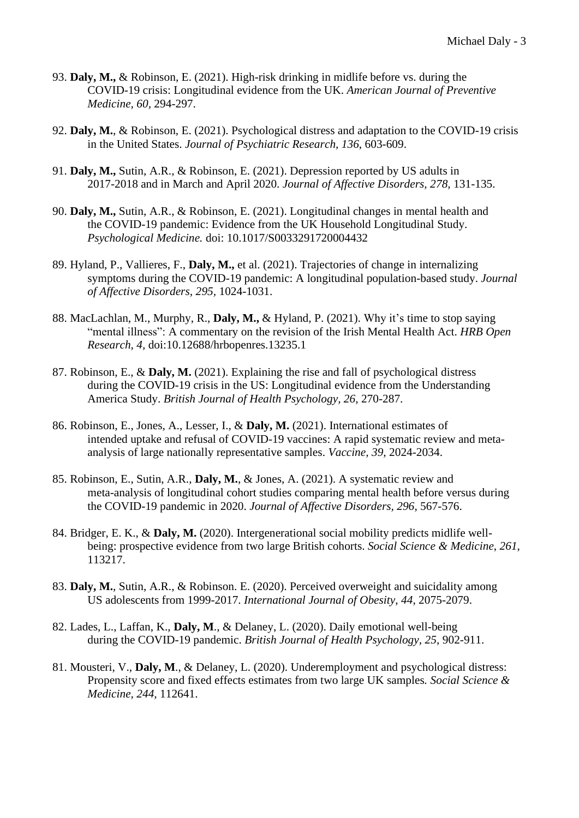- 93. **Daly, M.,** & Robinson, E. (2021). High-risk drinking in midlife before vs. during the COVID-19 crisis: Longitudinal evidence from the UK. *American Journal of Preventive Medicine, 60,* 294-297.
- 92. **Daly, M.**, & Robinson, E. (2021). Psychological distress and adaptation to the COVID-19 crisis in the United States. *Journal of Psychiatric Research, 136*, 603-609.
- 91. **Daly, M.,** Sutin, A.R., & Robinson, E. (2021). Depression reported by US adults in 2017-2018 and in March and April 2020. *Journal of Affective Disorders, 278,* 131-135.
- 90. **Daly, M.,** Sutin, A.R., & Robinson, E. (2021). Longitudinal changes in mental health and the COVID-19 pandemic: Evidence from the UK Household Longitudinal Study. *Psychological Medicine.* doi: 10.1017/S0033291720004432
- 89. Hyland, P., Vallieres, F., **Daly, M.,** et al. (2021). Trajectories of change in internalizing symptoms during the COVID-19 pandemic: A longitudinal population-based study. *Journal of Affective Disorders, 295,* 1024-1031.
- 88. MacLachlan, M., Murphy, R., **Daly, M.,** & Hyland, P. (2021). Why it's time to stop saying "mental illness": A commentary on the revision of the Irish Mental Health Act. *HRB Open Research*, *4,* doi:10.12688/hrbopenres.13235.1
- 87. Robinson, E., & **Daly, M.** (2021). Explaining the rise and fall of psychological distress during the COVID-19 crisis in the US: Longitudinal evidence from the Understanding America Study. *British Journal of Health Psychology, 26,* 270-287.
- 86. Robinson, E., Jones, A., Lesser, I., & **Daly, M.** (2021). International estimates of intended uptake and refusal of COVID-19 vaccines: A rapid systematic review and metaanalysis of large nationally representative samples. *Vaccine, 39,* 2024-2034.
- 85. Robinson, E., Sutin, A.R., **Daly, M.**, & Jones, A. (2021). A systematic review and meta-analysis of longitudinal cohort studies comparing mental health before versus during the COVID-19 pandemic in 2020. *Journal of Affective Disorders, 296*, 567-576.
- 84. Bridger, E. K., & **Daly, M.** (2020). Intergenerational social mobility predicts midlife wellbeing: prospective evidence from two large British cohorts. *Social Science & Medicine*, *261*, 113217.
- 83. **Daly, M.**, Sutin, A.R., & Robinson. E. (2020). Perceived overweight and suicidality among US adolescents from 1999-2017. *International Journal of Obesity*, *44*, 2075-2079.
- 82. Lades, L., Laffan, K., **Daly, M**., & Delaney, L. (2020). Daily emotional well-being during the COVID-19 pandemic. *British Journal of Health Psychology, 25,* 902-911.
- 81. Mousteri, V., **Daly, M**., & Delaney, L. (2020). Underemployment and psychological distress: Propensity score and fixed effects estimates from two large UK samples*. Social Science & Medicine, 244,* 112641.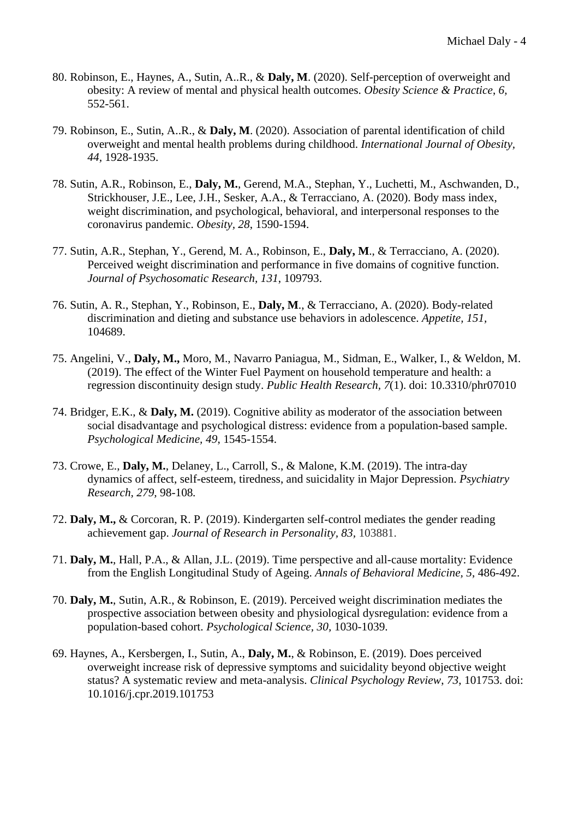- 80. Robinson, E., Haynes, A., Sutin, A..R., & **Daly, M**. (2020). Self-perception of overweight and obesity: A review of mental and physical health outcomes. *Obesity Science & Practice*, *6,* 552-561.
- 79. Robinson, E., Sutin, A..R., & **Daly, M**. (2020). Association of parental identification of child overweight and mental health problems during childhood. *International Journal of Obesity, 44,* 1928-1935.
- 78. Sutin, A.R., Robinson, E., **Daly, M.**, Gerend, M.A., Stephan, Y., Luchetti, M., Aschwanden, D., Strickhouser, J.E., Lee, J.H., Sesker, A.A., & Terracciano, A. (2020). Body mass index, weight discrimination, and psychological, behavioral, and interpersonal responses to the coronavirus pandemic. *Obesity, 28*, 1590-1594.
- 77. Sutin, A.R., Stephan, Y., Gerend, M. A., Robinson, E., **Daly, M**., & Terracciano, A. (2020). Perceived weight discrimination and performance in five domains of cognitive function. *Journal of Psychosomatic Research, 131*, 109793.
- 76. Sutin, A. R., Stephan, Y., Robinson, E., **Daly, M**., & Terracciano, A. (2020). Body-related discrimination and dieting and substance use behaviors in adolescence. *Appetite, 151,*  104689.
- 75. Angelini, V., **Daly, M.,** Moro, M., Navarro Paniagua, M., Sidman, E., Walker, I., & Weldon, M. (2019). The effect of the Winter Fuel Payment on household temperature and health: a regression discontinuity design study. *Public Health Research, 7*(1). doi: 10.3310/phr07010
- 74. Bridger, E.K., & **Daly, M.** (2019). Cognitive ability as moderator of the association between social disadvantage and psychological distress: evidence from a population-based sample. *Psychological Medicine, 49*, 1545-1554.
- 73. Crowe, E., **Daly, M.**, Delaney, L., Carroll, S., & Malone, K.M. (2019). The intra-day dynamics of affect, self-esteem, tiredness, and suicidality in Major Depression. *Psychiatry Research, 279,* 98-108*.*
- 72. **Daly, M.,** & Corcoran, R. P. (2019). Kindergarten self-control mediates the gender reading achievement gap. *Journal of Research in Personality, 83,* 103881.
- 71. **Daly, M.**, Hall, P.A., & Allan, J.L. (2019). Time perspective and all-cause mortality: Evidence from the English Longitudinal Study of Ageing. *Annals of Behavioral Medicine, 5*, 486-492.
- 70. **Daly, M.**, Sutin, A.R., & Robinson, E. (2019). Perceived weight discrimination mediates the prospective association between obesity and physiological dysregulation: evidence from a population-based cohort. *Psychological Science, 30,* 1030-1039.
- 69. Haynes, A., Kersbergen, I., Sutin, A., **Daly, M.**, & Robinson, E. (2019). Does perceived overweight increase risk of depressive symptoms and suicidality beyond objective weight status? A systematic review and meta-analysis. *Clinical Psychology Review*, *73*, 101753. doi: 10.1016/j.cpr.2019.101753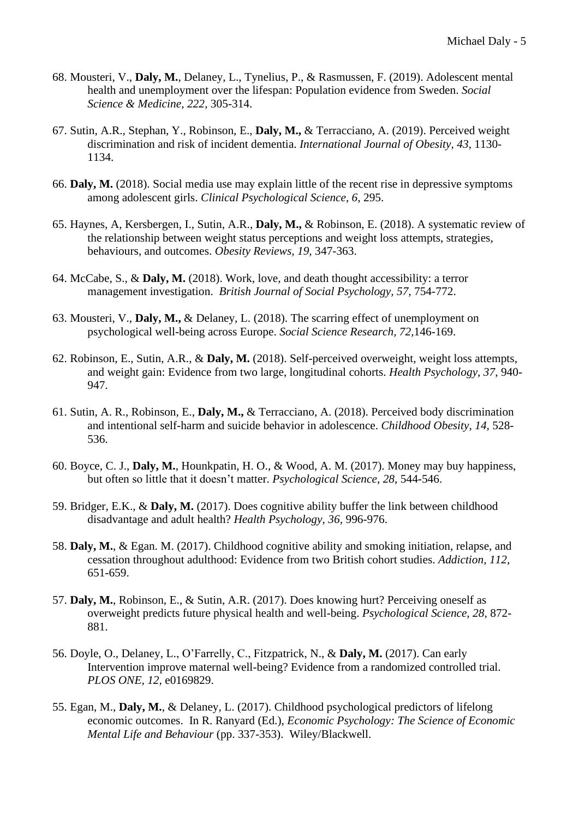- 68. Mousteri, V., **Daly, M.**, Delaney, L., Tynelius, P., & Rasmussen, F. (2019). Adolescent mental health and unemployment over the lifespan: Population evidence from Sweden. *Social Science & Medicine, 222*, 305-314.
- 67. Sutin, A.R., Stephan, Y., Robinson, E., **Daly, M.,** & Terracciano, A. (2019). Perceived weight discrimination and risk of incident dementia. *International Journal of Obesity, 43*, 1130- 1134.
- 66. **Daly, M.** (2018). Social media use may explain little of the recent rise in depressive symptoms among adolescent girls. *Clinical Psychological Science, 6,* 295.
- 65. Haynes, A, Kersbergen, I., Sutin, A.R., **Daly, M.,** & Robinson, E. (2018). A systematic review of the relationship between weight status perceptions and weight loss attempts, strategies, behaviours, and outcomes. *Obesity Reviews, 19,* 347-363.
- 64. McCabe, S., & **Daly, M.** (2018). Work, love, and death thought accessibility: a terror management investigation. *British Journal of Social Psychology, 57,* 754-772.
- 63. Mousteri, V., **Daly, M.,** & Delaney, L. (2018). The scarring effect of unemployment on psychological well-being across Europe. *Social Science Research, 72,*146-169.
- 62. Robinson, E., Sutin, A.R., & **Daly, M.** (2018). Self-perceived overweight, weight loss attempts, and weight gain: Evidence from two large, longitudinal cohorts. *Health Psychology, 37*, 940- 947.
- 61. Sutin, A. R., Robinson, E., **Daly, M.,** & Terracciano, A. (2018). Perceived body discrimination and intentional self-harm and suicide behavior in adolescence. *Childhood Obesity, 14,* 528- 536.
- 60. Boyce, C. J., **Daly, M.**, Hounkpatin, H. O., & Wood, A. M. (2017). Money may buy happiness, but often so little that it doesn't matter. *Psychological Science, 28*, 544-546.
- 59. Bridger, E.K., & **Daly, M.** (2017). Does cognitive ability buffer the link between childhood disadvantage and adult health? *Health Psychology, 36,* 996-976.
- 58. **Daly, M.**, & Egan. M. (2017). Childhood cognitive ability and smoking initiation, relapse, and cessation throughout adulthood: Evidence from two British cohort studies. *Addiction, 112,* 651-659.
- 57. **Daly, M.**, Robinson, E., & Sutin, A.R. (2017). Does knowing hurt? Perceiving oneself as overweight predicts future physical health and well-being. *Psychological Science, 28,* 872- 881.
- 56. Doyle, O., Delaney, L., O'Farrelly, C., Fitzpatrick, N., & **Daly, M.** (2017). Can early Intervention improve maternal well-being? Evidence from a randomized controlled trial. *PLOS ONE, 12,* e0169829.
- 55. Egan, M., **Daly, M.**, & Delaney, L. (2017). Childhood psychological predictors of lifelong economic outcomes. In R. Ranyard (Ed.), *Economic Psychology: The Science of Economic Mental Life and Behaviour* (pp. 337-353). Wiley/Blackwell.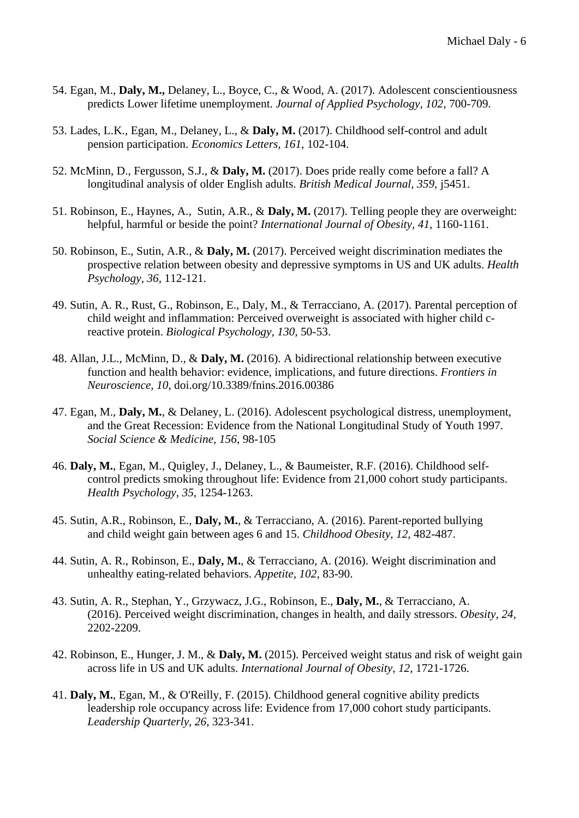- 54. Egan, M., **Daly, M.,** Delaney, L., Boyce, C., & Wood, A. (2017). Adolescent conscientiousness predicts Lower lifetime unemployment. *Journal of Applied Psychology, 102,* 700-709.
- 53. Lades, L.K., Egan, M., Delaney, L., & **Daly, M.** (2017). Childhood self-control and adult pension participation. *Economics Letters, 161,* 102-104.
- 52. McMinn, D., Fergusson, S.J., & **Daly, M.** (2017). Does pride really come before a fall? A longitudinal analysis of older English adults. *British Medical Journal, 359,* j5451.
- 51. Robinson, E., Haynes, A., Sutin, A.R., & **Daly, M.** (2017). Telling people they are overweight: helpful, harmful or beside the point? *International Journal of Obesity, 41,* 1160-1161.
- 50. Robinson, E., Sutin, A.R., & **Daly, M.** (2017). Perceived weight discrimination mediates the prospective relation between obesity and depressive symptoms in US and UK adults. *Health Psychology, 36,* 112-121.
- 49. Sutin, A. R., Rust, G., Robinson, E., Daly, M., & Terracciano, A. (2017). Parental perception of child weight and inflammation: Perceived overweight is associated with higher child creactive protein. *Biological Psychology, 130,* 50-53.
- 48. Allan, J.L., McMinn, D., & **Daly, M.** (2016). A bidirectional relationship between executive function and health behavior: evidence, implications, and future directions. *Frontiers in Neuroscience, 10*, doi.org/10.3389/fnins.2016.00386
- 47. Egan, M., **Daly, M.**, & Delaney, L. (2016). Adolescent psychological distress, unemployment, and the Great Recession: Evidence from the National Longitudinal Study of Youth 1997. *Social Science & Medicine, 156*, 98-105
- 46. **Daly, M.**, Egan, M., Quigley, J., Delaney, L., & Baumeister, R.F. (2016). Childhood selfcontrol predicts smoking throughout life: Evidence from 21,000 cohort study participants. *Health Psychology, 35,* 1254-1263.
- 45. Sutin, A.R., Robinson, E., **Daly, M.**, & Terracciano, A. (2016). Parent-reported bullying and child weight gain between ages 6 and 15. *Childhood Obesity, 12,* 482-487.
- 44. Sutin, A. R., Robinson, E., **Daly, M.**, & Terracciano, A. (2016). Weight discrimination and unhealthy eating-related behaviors. *Appetite, 102,* 83-90.
- 43. Sutin, A. R., Stephan, Y., Grzywacz, J.G., Robinson, E., **Daly, M.**, & Terracciano, A. (2016). Perceived weight discrimination, changes in health, and daily stressors. *Obesity, 24,*  2202-2209.
- 42. Robinson, E., Hunger, J. M., & **Daly, M.** (2015). Perceived weight status and risk of weight gain across life in US and UK adults. *International Journal of Obesity*, *12,* 1721-1726.
- 41. **Daly, M.**, Egan, M., & O'Reilly, F. (2015). Childhood general cognitive ability predicts leadership role occupancy across life: Evidence from 17,000 cohort study participants. *Leadership Quarterly, 26*, 323-341.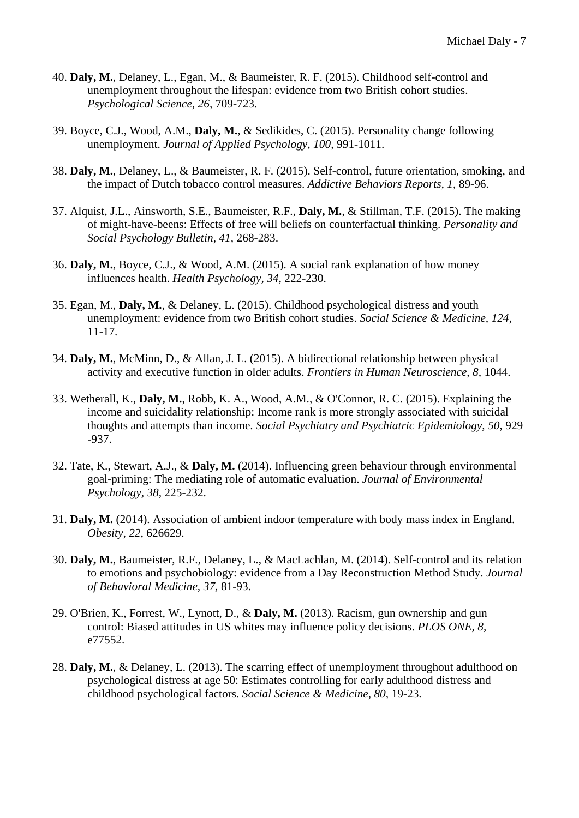- 40. **Daly, M.**, Delaney, L., Egan, M., & Baumeister, R. F. (2015). Childhood self-control and unemployment throughout the lifespan: evidence from two British cohort studies. *Psychological Science, 26,* 709-723.
- 39. Boyce, C.J., Wood, A.M., **Daly, M.**, & Sedikides, C. (2015). Personality change following unemployment. *Journal of Applied Psychology, 100,* 991-1011.
- 38. **Daly, M.**, Delaney, L., & Baumeister, R. F. (2015). Self-control, future orientation, smoking, and the impact of Dutch tobacco control measures. *Addictive Behaviors Reports, 1*, 89-96.
- 37. Alquist, J.L., Ainsworth, S.E., Baumeister, R.F., **Daly, M.**, & Stillman, T.F. (2015). The making of might-have-beens: Effects of free will beliefs on counterfactual thinking. *Personality and Social Psychology Bulletin, 41,* 268-283.
- 36. **Daly, M.**, Boyce, C.J., & Wood, A.M. (2015). A social rank explanation of how money influences health. *Health Psychology, 34*, 222-230.
- 35. Egan, M., **Daly, M.**, & Delaney, L. (2015). Childhood psychological distress and youth unemployment: evidence from two British cohort studies. *Social Science & Medicine, 124,* 11-17.
- 34. **Daly, M.**, McMinn, D., & Allan, J. L. (2015). A bidirectional relationship between physical activity and executive function in older adults. *Frontiers in Human Neuroscience, 8,* 1044.
- 33. Wetherall, K., **Daly, M.**, Robb, K. A., Wood, A.M., & O'Connor, R. C. (2015). Explaining the income and suicidality relationship: Income rank is more strongly associated with suicidal thoughts and attempts than income. *Social Psychiatry and Psychiatric Epidemiology, 50*, 929 -937.
- 32. Tate, K., Stewart, A.J., & **Daly, M.** (2014). Influencing green behaviour through environmental goal-priming: The mediating role of automatic evaluation. *Journal of Environmental Psychology, 38,* 225-232.
- 31. **Daly, M.** (2014). Association of ambient indoor temperature with body mass index in England. *Obesity, 22*, 626629.
- 30. **Daly, M.**, Baumeister, R.F., Delaney, L., & MacLachlan, M. (2014). Self-control and its relation to emotions and psychobiology: evidence from a Day Reconstruction Method Study. *Journal of Behavioral Medicine, 37,* 81-93.
- 29. O'Brien, K., Forrest, W., Lynott, D., & **Daly, M.** (2013). Racism, gun ownership and gun control: Biased attitudes in US whites may influence policy decisions. *PLOS ONE, 8,*  e77552.
- 28. **Daly, M.**, & Delaney, L. (2013). The scarring effect of unemployment throughout adulthood on psychological distress at age 50: Estimates controlling for early adulthood distress and childhood psychological factors. *Social Science & Medicine, 80,* 19-23.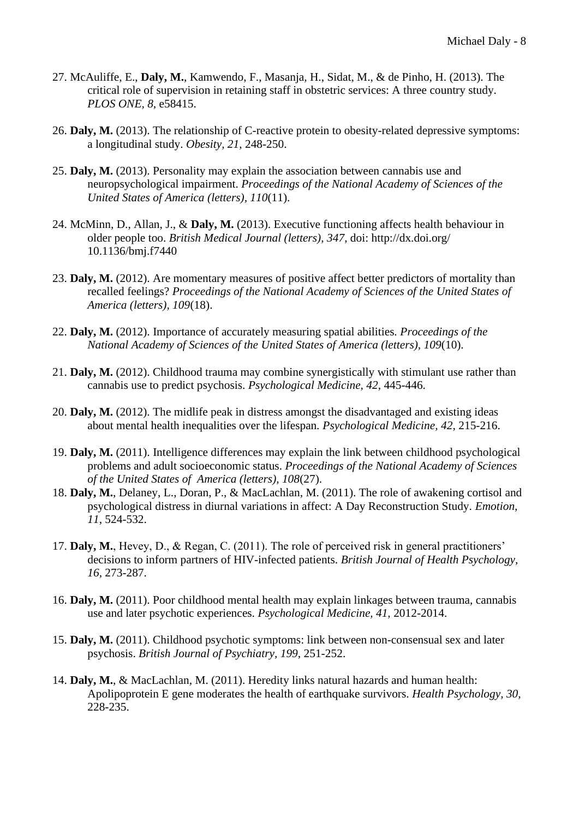- 27. McAuliffe, E., **Daly, M.**, Kamwendo, F., Masanja, H., Sidat, M., & de Pinho, H. (2013). The critical role of supervision in retaining staff in obstetric services: A three country study. *PLOS ONE, 8,* e58415.
- 26. **Daly, M.** (2013). The relationship of C-reactive protein to obesity-related depressive symptoms: a longitudinal study. *Obesity, 21*, 248-250.
- 25. **Daly, M.** (2013). Personality may explain the association between cannabis use and neuropsychological impairment. *Proceedings of the National Academy of Sciences of the United States of America (letters), 110*(11).
- 24. McMinn, D., Allan, J., & **Daly, M.** (2013). Executive functioning affects health behaviour in older people too. *British Medical Journal (letters), 347,* doi: http://dx.doi.org/ 10.1136/bmj.f7440
- 23. **Daly, M.** (2012). Are momentary measures of positive affect better predictors of mortality than recalled feelings? *Proceedings of the National Academy of Sciences of the United States of America (letters), 109*(18).
- 22. **Daly, M.** (2012). Importance of accurately measuring spatial abilities*. Proceedings of the National Academy of Sciences of the United States of America (letters), 109*(10).
- 21. **Daly, M.** (2012). Childhood trauma may combine synergistically with stimulant use rather than cannabis use to predict psychosis. *Psychological Medicine, 42*, 445-446.
- 20. **Daly, M.** (2012). The midlife peak in distress amongst the disadvantaged and existing ideas about mental health inequalities over the lifespan*. Psychological Medicine, 42,* 215-216.
- 19. **Daly, M.** (2011). Intelligence differences may explain the link between childhood psychological problems and adult socioeconomic status. *Proceedings of the National Academy of Sciences of the United States of America (letters), 108*(27).
- 18. **Daly, M.**, Delaney, L., Doran, P., & MacLachlan, M. (2011). The role of awakening cortisol and psychological distress in diurnal variations in affect: A Day Reconstruction Study. *Emotion, 11*, 524-532.
- 17. **Daly, M.**, Hevey, D., & Regan, C. (2011). The role of perceived risk in general practitioners' decisions to inform partners of HIV-infected patients. *British Journal of Health Psychology, 16,* 273-287.
- 16. **Daly, M.** (2011). Poor childhood mental health may explain linkages between trauma, cannabis use and later psychotic experiences. *Psychological Medicine, 41,* 2012-2014.
- 15. **Daly, M.** (2011). Childhood psychotic symptoms: link between non-consensual sex and later psychosis. *British Journal of Psychiatry, 199,* 251-252.
- 14. **Daly, M.**, & MacLachlan, M. (2011). Heredity links natural hazards and human health: Apolipoprotein E gene moderates the health of earthquake survivors. *Health Psychology, 30,*  228-235.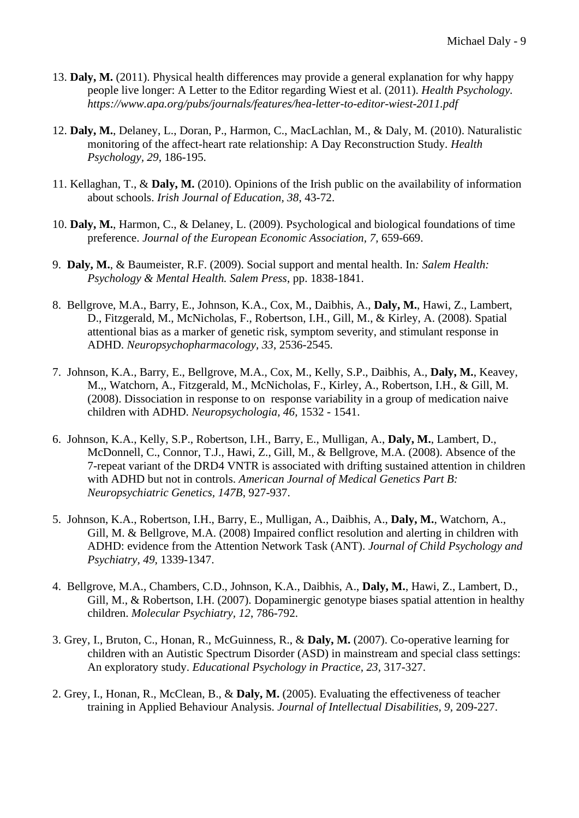- 13. **Daly, M.** (2011). Physical health differences may provide a general explanation for why happy people live longer: A Letter to the Editor regarding Wiest et al. (2011). *Health Psychology. https://www.apa.org/pubs/journals/features/hea-letter-to-editor-wiest-2011.pdf*
- 12. **Daly, M.**, Delaney, L., Doran, P., Harmon, C., MacLachlan, M., & Daly, M. (2010). Naturalistic monitoring of the affect-heart rate relationship: A Day Reconstruction Study. *Health Psychology, 29*, 186-195.
- 11. Kellaghan, T., & **Daly, M.** (2010). Opinions of the Irish public on the availability of information about schools. *Irish Journal of Education, 38*, 43-72.
- 10. **Daly, M.**, Harmon, C., & Delaney, L. (2009). Psychological and biological foundations of time preference. *Journal of the European Economic Association, 7,* 659-669.
- 9. **Daly, M.**, & Baumeister, R.F. (2009). Social support and mental health. In*: Salem Health: Psychology & Mental Health. Salem Press*, pp. 1838-1841.
- 8. Bellgrove, M.A., Barry, E., Johnson, K.A., Cox, M., Daibhis, A., **Daly, M.**, Hawi, Z., Lambert, D., Fitzgerald, M., McNicholas, F., Robertson, I.H., Gill, M., & Kirley, A. (2008). Spatial attentional bias as a marker of genetic risk, symptom severity, and stimulant response in ADHD. *Neuropsychopharmacology, 33*, 2536-2545.
- 7. Johnson, K.A., Barry, E., Bellgrove, M.A., Cox, M., Kelly, S.P., Daibhis, A., **Daly, M.**, Keavey, M.,, Watchorn, A., Fitzgerald, M., McNicholas, F., Kirley, A., Robertson, I.H., & Gill, M. (2008). Dissociation in response to on response variability in a group of medication naive children with ADHD. *Neuropsychologia, 46,* 1532 - 1541.
- 6. Johnson, K.A., Kelly, S.P., Robertson, I.H., Barry, E., Mulligan, A., **Daly, M.**, Lambert, D., McDonnell, C., Connor, T.J., Hawi, Z., Gill, M., & Bellgrove, M.A. (2008). Absence of the 7-repeat variant of the DRD4 VNTR is associated with drifting sustained attention in children with ADHD but not in controls. *American Journal of Medical Genetics Part B: Neuropsychiatric Genetics, 147B*, 927-937.
- 5. Johnson, K.A., Robertson, I.H., Barry, E., Mulligan, A., Daibhis, A., **Daly, M.**, Watchorn, A., Gill, M. & Bellgrove, M.A. (2008) Impaired conflict resolution and alerting in children with ADHD: evidence from the Attention Network Task (ANT). *Journal of Child Psychology and Psychiatry, 49,* 1339-1347.
- 4. Bellgrove, M.A., Chambers, C.D., Johnson, K.A., Daibhis, A., **Daly, M.**, Hawi, Z., Lambert, D., Gill, M., & Robertson, I.H. (2007). Dopaminergic genotype biases spatial attention in healthy children. *Molecular Psychiatry, 12*, 786-792.
- 3. Grey, I., Bruton, C., Honan, R., McGuinness, R., & **Daly, M.** (2007). Co-operative learning for children with an Autistic Spectrum Disorder (ASD) in mainstream and special class settings: An exploratory study. *Educational Psychology in Practice, 23,* 317-327.
- 2. Grey, I., Honan, R., McClean, B., & **Daly, M.** (2005). Evaluating the effectiveness of teacher training in Applied Behaviour Analysis. *Journal of Intellectual Disabilities, 9,* 209-227.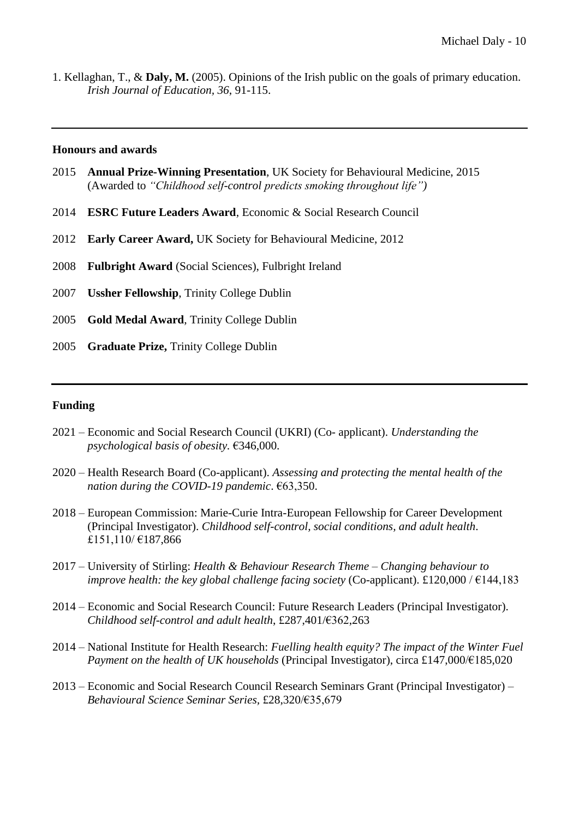1. Kellaghan, T., & **Daly, M.** (2005). Opinions of the Irish public on the goals of primary education. *Irish Journal of Education, 36*, 91-115.

#### **Honours and awards**

- 2015 **Annual Prize-Winning Presentation**, UK Society for Behavioural Medicine, 2015 (Awarded to *"Childhood self-control predicts smoking throughout life")*
- 2014 **ESRC Future Leaders Award**, Economic & Social Research Council
- 2012 **Early Career Award,** UK Society for Behavioural Medicine, 2012
- 2008 **Fulbright Award** (Social Sciences), Fulbright Ireland
- 2007 **Ussher Fellowship**, Trinity College Dublin
- 2005 **Gold Medal Award**, Trinity College Dublin
- 2005 **Graduate Prize,** Trinity College Dublin

#### **Funding**

- 2021 Economic and Social Research Council (UKRI) (Co- applicant). *Understanding the psychological basis of obesity.* €346,000.
- 2020 Health Research Board (Co-applicant). *Assessing and protecting the mental health of the nation during the COVID-19 pandemic*. €63,350.
- 2018 European Commission: Marie-Curie Intra-European Fellowship for Career Development (Principal Investigator). *Childhood self-control, social conditions, and adult health*. £151,110/ €187,866
- 2017 University of Stirling: *Health & Behaviour Research Theme – Changing behaviour to improve health: the key global challenge facing society* (Co-applicant). £120,000 /  $\epsilon$ 144,183
- 2014 Economic and Social Research Council: Future Research Leaders (Principal Investigator). *Childhood self-control and adult health*, £287,401/€362,263
- 2014 National Institute for Health Research: *Fuelling health equity? The impact of the Winter Fuel Payment on the health of UK households* (Principal Investigator), circa £147,000/€185,020
- 2013 Economic and Social Research Council Research Seminars Grant (Principal Investigator) *Behavioural Science Seminar Series,* £28,320/€35,679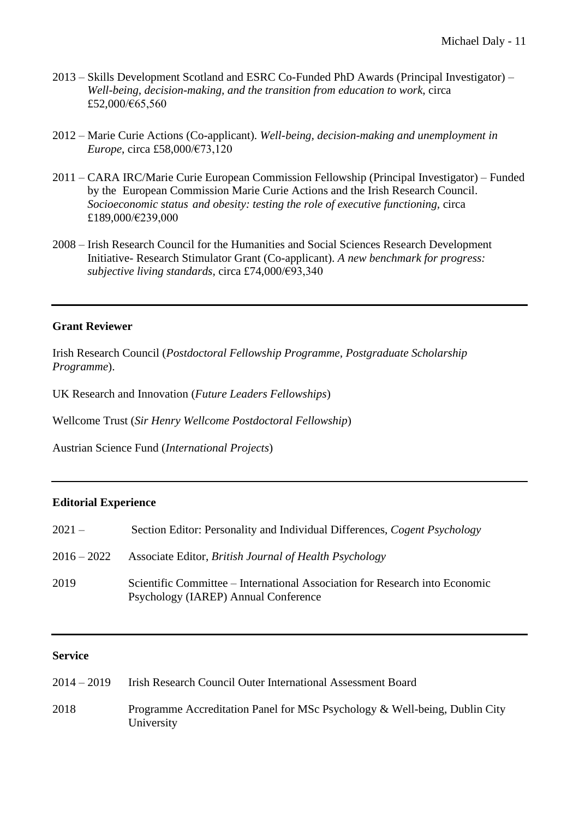- 2013 Skills Development Scotland and ESRC Co-Funded PhD Awards (Principal Investigator) *Well-being, decision-making, and the transition from education to work*, circa £52,000/€65,560
- 2012 Marie Curie Actions (Co-applicant). *Well-being, decision-making and unemployment in Europe*, circa £58,000/€73,120
- 2011 CARA IRC/Marie Curie European Commission Fellowship (Principal Investigator) Funded by the European Commission Marie Curie Actions and the Irish Research Council. *Socioeconomic status and obesity: testing the role of executive functioning,* circa £189,000/€239,000
- 2008 Irish Research Council for the Humanities and Social Sciences Research Development Initiative- Research Stimulator Grant (Co-applicant). *A new benchmark for progress: subjective living standards*, circa £74,000/€93,340

# **Grant Reviewer**

Irish Research Council (*Postdoctoral Fellowship Programme, Postgraduate Scholarship Programme*).

UK Research and Innovation (*Future Leaders Fellowships*)

Wellcome Trust (*Sir Henry Wellcome Postdoctoral Fellowship*)

Austrian Science Fund (*International Projects*)

## **Editorial Experience**

| $2021-$       | Section Editor: Personality and Individual Differences, Cogent Psychology                                           |
|---------------|---------------------------------------------------------------------------------------------------------------------|
| $2016 - 2022$ | Associate Editor, British Journal of Health Psychology                                                              |
| 2019          | Scientific Committee – International Association for Research into Economic<br>Psychology (IAREP) Annual Conference |

# **Service**

| $2014 - 2019$ | <b>Irish Research Council Outer International Assessment Board</b>                       |
|---------------|------------------------------------------------------------------------------------------|
| 2018          | Programme Accreditation Panel for MSc Psychology & Well-being, Dublin City<br>University |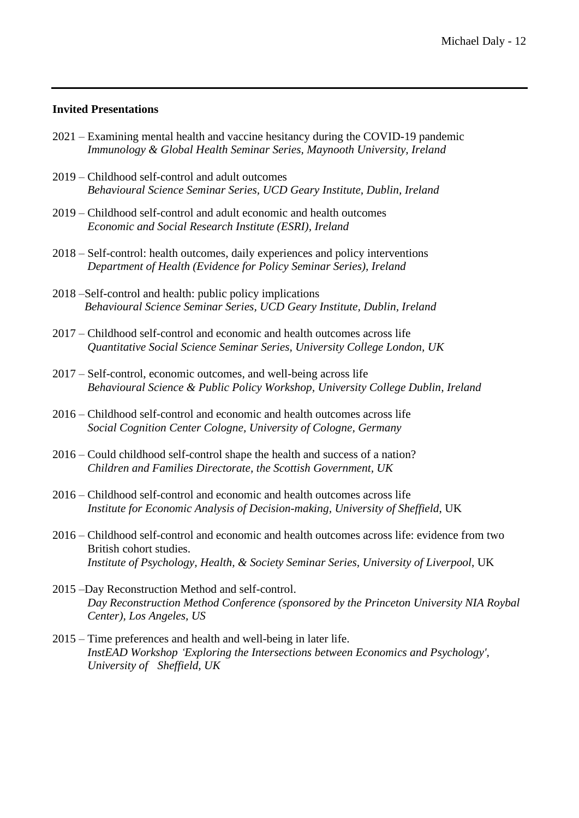### **Invited Presentations**

- 2021 Examining mental health and vaccine hesitancy during the COVID-19 pandemic *Immunology & Global Health Seminar Series, Maynooth University, Ireland*
- 2019 Childhood self-control and adult outcomes *Behavioural Science Seminar Series, UCD Geary Institute, Dublin, Ireland*
- 2019 Childhood self-control and adult economic and health outcomes *Economic and Social Research Institute (ESRI), Ireland*
- 2018 Self-control: health outcomes, daily experiences and policy interventions *Department of Health (Evidence for Policy Seminar Series), Ireland*
- 2018 –Self-control and health: public policy implications  *Behavioural Science Seminar Series, UCD Geary Institute, Dublin, Ireland*
- 2017 Childhood self-control and economic and health outcomes across life *Quantitative Social Science Seminar Series, University College London, UK*
- 2017 Self-control, economic outcomes, and well-being across life *Behavioural Science & Public Policy Workshop, University College Dublin, Ireland*
- 2016 Childhood self-control and economic and health outcomes across life *Social Cognition Center Cologne, University of Cologne, Germany*
- 2016 Could childhood self-control shape the health and success of a nation? *Children and Families Directorate, the Scottish Government, UK*
- 2016 Childhood self-control and economic and health outcomes across life *Institute for Economic Analysis of Decision-making, University of Sheffield*, UK
- 2016 Childhood self-control and economic and health outcomes across life: evidence from two British cohort studies. *Institute of Psychology, Health, & Society Seminar Series, University of Liverpool*, UK
- 2015 –Day Reconstruction Method and self-control. *Day Reconstruction Method Conference (sponsored by the Princeton University NIA Roybal Center), Los Angeles, US*
- 2015 Time preferences and health and well-being in later life. *InstEAD Workshop 'Exploring the Intersections between Economics and Psychology', University of Sheffield, UK*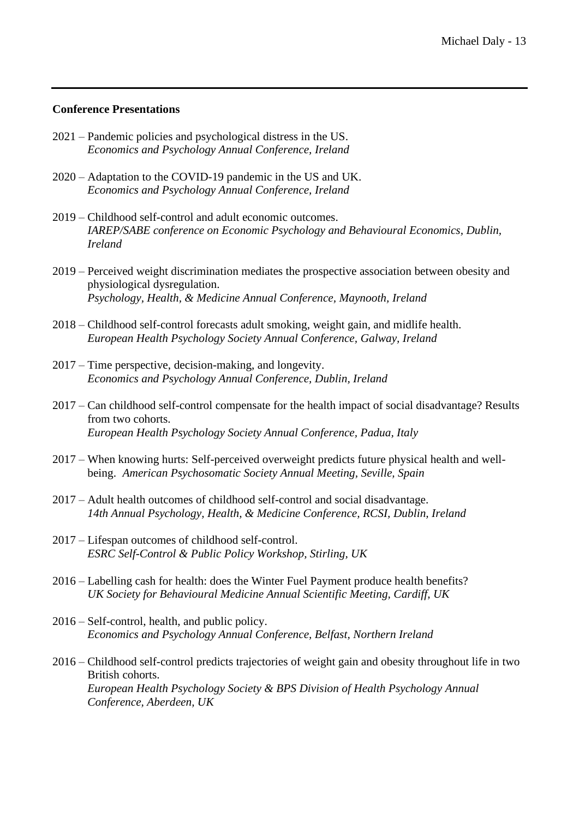### **Conference Presentations**

- 2021 Pandemic policies and psychological distress in the US. *Economics and Psychology Annual Conference, Ireland*
- 2020 Adaptation to the COVID-19 pandemic in the US and UK. *Economics and Psychology Annual Conference, Ireland*
- 2019 Childhood self-control and adult economic outcomes.  *IAREP/SABE conference on Economic Psychology and Behavioural Economics, Dublin, Ireland*
- 2019 Perceived weight discrimination mediates the prospective association between obesity and physiological dysregulation. *Psychology, Health, & Medicine Annual Conference, Maynooth, Ireland*
- 2018 Childhood self-control forecasts adult smoking, weight gain, and midlife health. *European Health Psychology Society Annual Conference, Galway, Ireland*
- 2017 Time perspective, decision-making, and longevity. *Economics and Psychology Annual Conference, Dublin, Ireland*
- 2017 Can childhood self-control compensate for the health impact of social disadvantage? Results from two cohorts. *European Health Psychology Society Annual Conference, Padua, Italy*
- 2017 When knowing hurts: Self-perceived overweight predicts future physical health and wellbeing. *American Psychosomatic Society Annual Meeting, Seville, Spain*
- 2017 Adult health outcomes of childhood self-control and social disadvantage. *14th Annual Psychology, Health, & Medicine Conference, RCSI, Dublin, Ireland*
- 2017 Lifespan outcomes of childhood self-control. *ESRC Self-Control & Public Policy Workshop, Stirling, UK*
- 2016 Labelling cash for health: does the Winter Fuel Payment produce health benefits? *UK Society for Behavioural Medicine Annual Scientific Meeting, Cardiff, UK*
- 2016 Self-control, health, and public policy. *Economics and Psychology Annual Conference, Belfast, Northern Ireland*
- 2016 Childhood self-control predicts trajectories of weight gain and obesity throughout life in two British cohorts. *European Health Psychology Society & BPS Division of Health Psychology Annual Conference, Aberdeen, UK*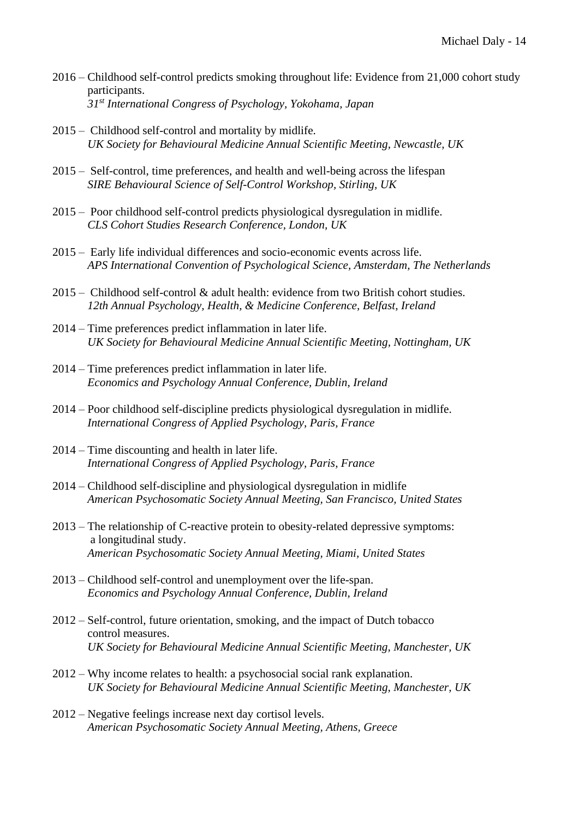- 2016 Childhood self-control predicts smoking throughout life: Evidence from 21,000 cohort study participants. *31st International Congress of Psychology, Yokohama, Japan*
- 2015 Childhood self-control and mortality by midlife. *UK Society for Behavioural Medicine Annual Scientific Meeting, Newcastle, UK*
- 2015 Self-control, time preferences, and health and well-being across the lifespan *SIRE Behavioural Science of Self-Control Workshop, Stirling, UK*
- 2015 Poor childhood self-control predicts physiological dysregulation in midlife. *CLS Cohort Studies Research Conference, London, UK*
- 2015 Early life individual differences and socio-economic events across life. *APS International Convention of Psychological Science, Amsterdam, The Netherlands*
- 2015 Childhood self-control & adult health: evidence from two British cohort studies. *12th Annual Psychology, Health, & Medicine Conference, Belfast, Ireland*
- 2014 Time preferences predict inflammation in later life. *UK Society for Behavioural Medicine Annual Scientific Meeting, Nottingham, UK*
- 2014 Time preferences predict inflammation in later life. *Economics and Psychology Annual Conference, Dublin, Ireland*
- 2014 Poor childhood self-discipline predicts physiological dysregulation in midlife. *International Congress of Applied Psychology, Paris, France*
- 2014 Time discounting and health in later life. *International Congress of Applied Psychology, Paris, France*
- 2014 Childhood self-discipline and physiological dysregulation in midlife *American Psychosomatic Society Annual Meeting, San Francisco, United States*
- 2013 The relationship of C-reactive protein to obesity-related depressive symptoms: a longitudinal study. *American Psychosomatic Society Annual Meeting, Miami, United States*
- 2013 Childhood self-control and unemployment over the life-span. *Economics and Psychology Annual Conference, Dublin, Ireland*
- 2012 Self-control, future orientation, smoking, and the impact of Dutch tobacco control measures. *UK Society for Behavioural Medicine Annual Scientific Meeting, Manchester, UK*
- 2012 Why income relates to health: a psychosocial social rank explanation. *UK Society for Behavioural Medicine Annual Scientific Meeting, Manchester, UK*
- 2012 Negative feelings increase next day cortisol levels. *American Psychosomatic Society Annual Meeting, Athens, Greece*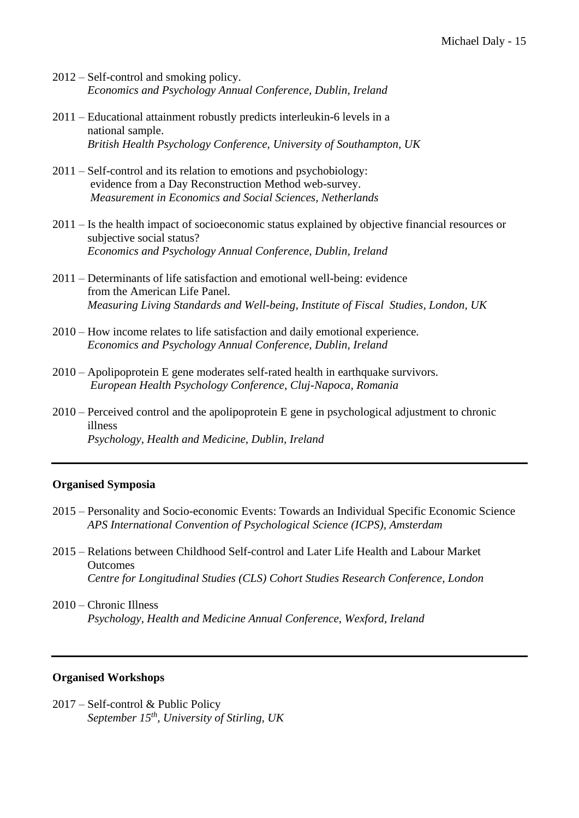- 2012 Self-control and smoking policy. *Economics and Psychology Annual Conference, Dublin, Ireland*
- 2011 Educational attainment robustly predicts interleukin-6 levels in a national sample. *British Health Psychology Conference, University of Southampton, UK*
- 2011 Self-control and its relation to emotions and psychobiology: evidence from a Day Reconstruction Method web-survey. *Measurement in Economics and Social Sciences, Netherlands*
- 2011 Is the health impact of socioeconomic status explained by objective financial resources or subjective social status? *Economics and Psychology Annual Conference, Dublin, Ireland*
- 2011 Determinants of life satisfaction and emotional well-being: evidence from the American Life Panel. *Measuring Living Standards and Well-being, Institute of Fiscal Studies, London, UK*
- 2010 How income relates to life satisfaction and daily emotional experience. *Economics and Psychology Annual Conference, Dublin, Ireland*
- 2010 Apolipoprotein E gene moderates self-rated health in earthquake survivors. *European Health Psychology Conference, Cluj-Napoca, Romania*
- 2010 Perceived control and the apolipoprotein E gene in psychological adjustment to chronic illness  *Psychology, Health and Medicine, Dublin, Ireland*

## **Organised Symposia**

- 2015 Personality and Socio-economic Events: Towards an Individual Specific Economic Science *APS International Convention of Psychological Science (ICPS), Amsterdam*
- 2015 Relations between Childhood Self-control and Later Life Health and Labour Market **Outcomes** *Centre for Longitudinal Studies (CLS) Cohort Studies Research Conference, London*
- 2010 Chronic Illness  *Psychology, Health and Medicine Annual Conference, Wexford, Ireland*

### **Organised Workshops**

2017 – Self-control & Public Policy *September 15th, University of Stirling, UK*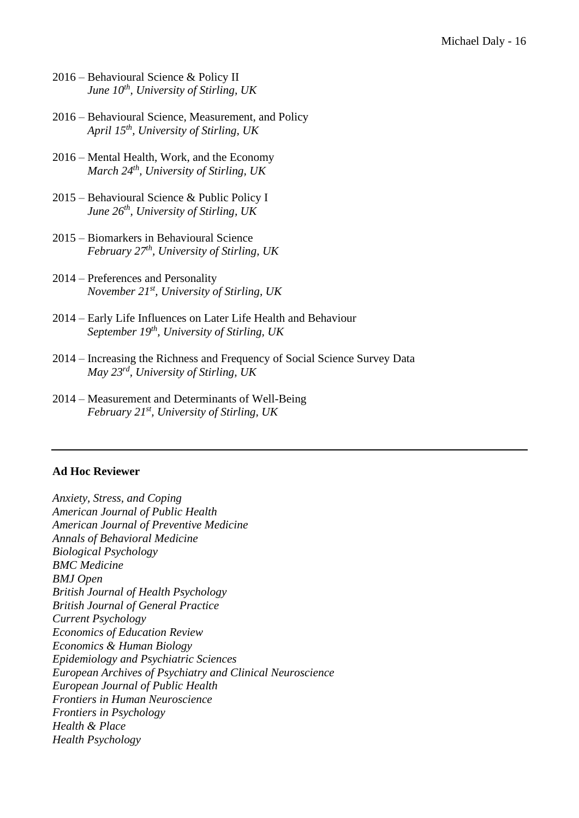- 2016 Behavioural Science & Policy II *June 10 th , University of Stirling, UK*
- 2016 Behavioural Science, Measurement, and Policy *April 15th , University of Stirling, UK*
- 2016 Mental Health, Work, and the Economy  *March 24th , University of Stirling, UK*
- 2015 Behavioural Science & Public Policy I *June 26th , University of Stirling, UK*
- 2015 Biomarkers in Behavioural Science *February 27th , University of Stirling, UK*
- 2014 Preferences and Personality *November 21st , University of Stirling, UK*
- 2014 Early Life Influences on Later Life Health and Behaviour *September 19th , University of Stirling, UK*
- 2014 Increasing the Richness and Frequency of Social Science Survey Data  *May 23rd , University of Stirling, UK*
- 2014 Measurement and Determinants of Well-Being *February 21st , University of Stirling, UK*

#### **Ad Hoc Reviewer**

*Anxiety, Stress, and Coping American Journal of Public Health American Journal of Preventive Medicine Annals of Behavioral Medicine Biological Psychology BMC Medicine BMJ Open British Journal of Health Psychology British Journal of General Practice Current Psychology Economics of Education Review Economics & Human Biology Epidemiology and Psychiatric Sciences European Archives of Psychiatry and Clinical Neuroscience European Journal of Public Health Frontiers in Human Neuroscience Frontiers in Psychology Health & Place Health Psychology*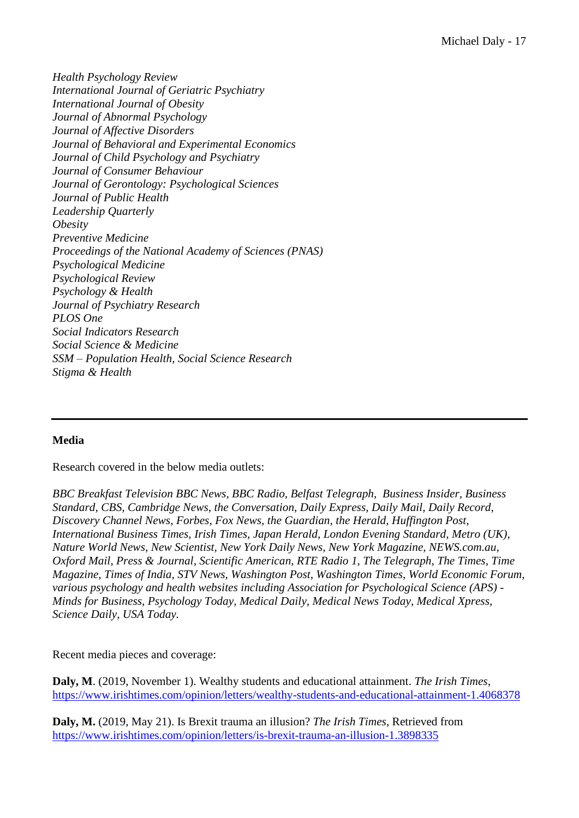*Health Psychology Review International Journal of Geriatric Psychiatry International Journal of Obesity Journal of Abnormal Psychology Journal of Affective Disorders Journal of Behavioral and Experimental Economics Journal of Child Psychology and Psychiatry Journal of Consumer Behaviour Journal of Gerontology: Psychological Sciences Journal of Public Health Leadership Quarterly Obesity Preventive Medicine Proceedings of the National Academy of Sciences (PNAS) Psychological Medicine Psychological Review Psychology & Health Journal of Psychiatry Research PLOS One Social Indicators Research Social Science & Medicine SSM – Population Health, Social Science Research Stigma & Health*

# **Media**

Research covered in the below media outlets:

*BBC Breakfast Television BBC News, BBC Radio, Belfast Telegraph, Business Insider, Business Standard, CBS, Cambridge News, the Conversation, Daily Express, Daily Mail, Daily Record, Discovery Channel News, Forbes, Fox News, the Guardian, the Herald, Huffington Post, International Business Times, Irish Times, Japan Herald, London Evening Standard, Metro (UK), Nature World News, New Scientist, New York Daily News, New York Magazine, NEWS.com.au, Oxford Mail, Press & Journal, Scientific American, RTE Radio 1, The Telegraph, The Times, Time Magazine, Times of India, STV News, Washington Post, Washington Times, World Economic Forum, various psychology and health websites including Association for Psychological Science (APS) - Minds for Business, Psychology Today, Medical Daily, Medical News Today, Medical Xpress, Science Daily, USA Today.*

Recent media pieces and coverage:

**Daly, M**. (2019, November 1). Wealthy students and educational attainment. *The Irish Times,* <https://www.irishtimes.com/opinion/letters/wealthy-students-and-educational-attainment-1.4068378>

**Daly, M.** (2019, May 21). Is Brexit trauma an illusion? *The Irish Times,* Retrieved from <https://www.irishtimes.com/opinion/letters/is-brexit-trauma-an-illusion-1.3898335>